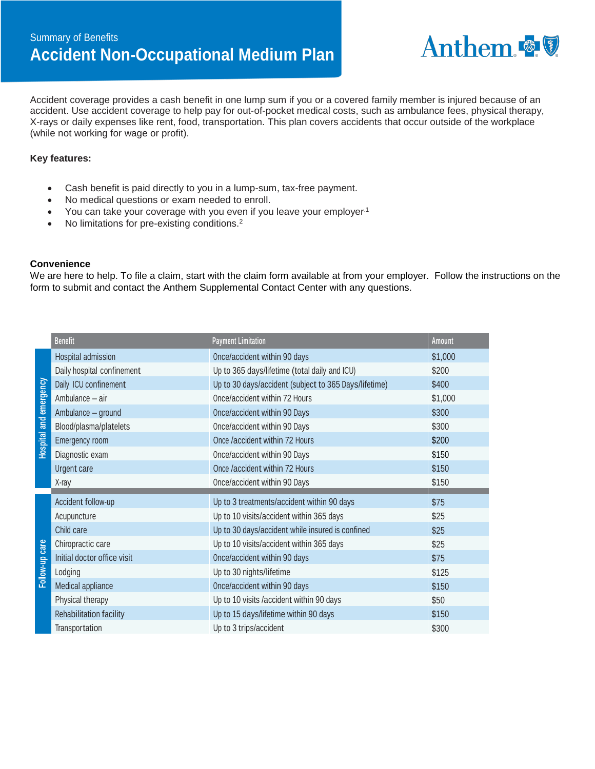

Accident coverage provides a cash benefit in one lump sum if you or a covered family member is injured because of an accident. Use accident coverage to help pay for out-of-pocket medical costs, such as ambulance fees, physical therapy, X-rays or daily expenses like rent, food, transportation. This plan covers accidents that occur outside of the workplace (while not working for wage or profit).

## **Key features:**

- Cash benefit is paid directly to you in a lump-sum, tax-free payment.
- No medical questions or exam needed to enroll.
- You can take your coverage with you even if you leave your employer.<sup>1</sup>
- No limitations for pre-existing conditions.<sup>2</sup>

## **Convenience**

We are here to help. To file a claim, start with the claim form available at from your employer. Follow the instructions on the form to submit and contact the Anthem Supplemental Contact Center with any questions.

|                               | <b>Benefit</b>              | <b>Payment Limitation</b>                             | Amount  |
|-------------------------------|-----------------------------|-------------------------------------------------------|---------|
| <b>Hospital and emergency</b> | Hospital admission          | Once/accident within 90 days                          | \$1,000 |
|                               | Daily hospital confinement  | Up to 365 days/lifetime (total daily and ICU)         | \$200   |
|                               | Daily ICU confinement       | Up to 30 days/accident (subject to 365 Days/lifetime) | \$400   |
|                               | Ambulance - air             | Once/accident within 72 Hours                         | \$1,000 |
|                               | Ambulance - ground          | Once/accident within 90 Days                          | \$300   |
|                               | Blood/plasma/platelets      | Once/accident within 90 Days                          | \$300   |
|                               | Emergency room              | Once /accident within 72 Hours                        | \$200   |
|                               | Diagnostic exam             | Once/accident within 90 Days                          | \$150   |
|                               | Urgent care                 | Once /accident within 72 Hours                        | \$150   |
|                               | X-ray                       | Once/accident within 90 Days                          | \$150   |
|                               | Accident follow-up          | Up to 3 treatments/accident within 90 days            | \$75    |
|                               | Acupuncture                 | Up to 10 visits/accident within 365 days              | \$25    |
|                               |                             |                                                       |         |
|                               | Child care                  | Up to 30 days/accident while insured is confined      | \$25    |
|                               | Chiropractic care           | Up to 10 visits/accident within 365 days              | \$25    |
|                               | Initial doctor office visit | Once/accident within 90 days                          | \$75    |
|                               | Lodging                     | Up to 30 nights/lifetime                              | \$125   |
| Follow-up care                | Medical appliance           | Once/accident within 90 days                          | \$150   |
|                               | Physical therapy            | Up to 10 visits /accident within 90 days              | \$50    |
|                               | Rehabilitation facility     | Up to 15 days/lifetime within 90 days                 | \$150   |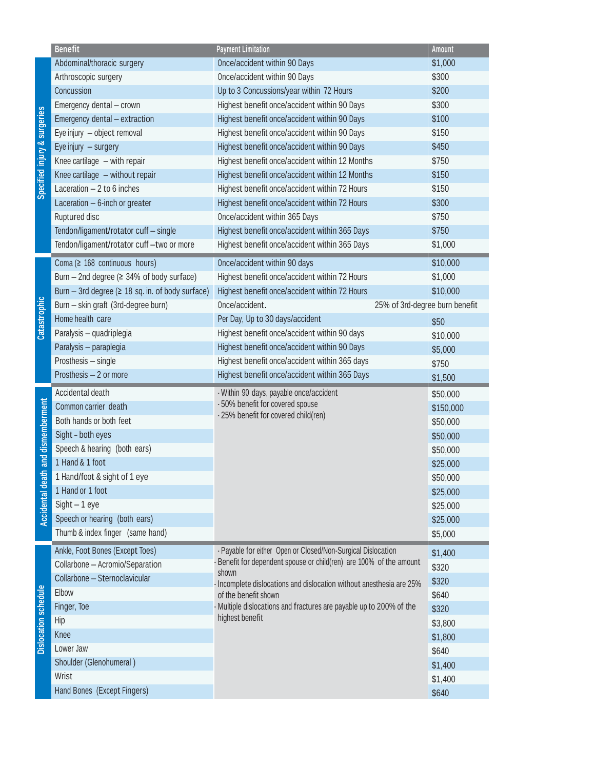|                              | <b>Benefit</b>                                   | <b>Payment Limitation</b>                                                              | <b>Amount</b> |
|------------------------------|--------------------------------------------------|----------------------------------------------------------------------------------------|---------------|
|                              | Abdominal/thoracic surgery                       | Once/accident within 90 Days                                                           | \$1,000       |
|                              | Arthroscopic surgery                             | Once/accident within 90 Days                                                           | \$300         |
|                              | Concussion                                       | Up to 3 Concussions/year within 72 Hours                                               | \$200         |
|                              | Emergency dental - crown                         | Highest benefit once/accident within 90 Days                                           | \$300         |
|                              | Emergency dental - extraction                    | Highest benefit once/accident within 90 Days                                           | \$100         |
| Specified injury & surgeries | Eye injury - object removal                      | Highest benefit once/accident within 90 Days                                           | \$150         |
|                              | Eye injury - surgery                             | Highest benefit once/accident within 90 Days                                           | \$450         |
|                              | Knee cartilage - with repair                     | Highest benefit once/accident within 12 Months                                         | \$750         |
|                              | Knee cartilage - without repair                  | Highest benefit once/accident within 12 Months                                         | \$150         |
|                              | Laceration $-2$ to 6 inches                      | Highest benefit once/accident within 72 Hours                                          | \$150         |
|                              | Laceration - 6-inch or greater                   | Highest benefit once/accident within 72 Hours                                          | \$300         |
|                              | Ruptured disc                                    | Once/accident within 365 Days                                                          | \$750         |
|                              | Tendon/ligament/rotator cuff - single            | Highest benefit once/accident within 365 Days                                          | \$750         |
|                              | Tendon/ligament/rotator cuff-two or more         | Highest benefit once/accident within 365 Days                                          | \$1,000       |
|                              | Coma ( $\geq$ 168 continuous hours)              | Once/accident within 90 days                                                           | \$10,000      |
|                              | Burn - 2nd degree ( $\geq$ 34% of body surface)  | Highest benefit once/accident within 72 Hours                                          | \$1,000       |
|                              | Burn - 3rd degree (≥ 18 sq. in. of body surface) | Highest benefit once/accident within 72 Hours                                          | \$10,000      |
|                              | Burn - skin graft (3rd-degree burn)              | Once/accident.<br>25% of 3rd-degree burn benefit                                       |               |
| Catastrophic                 | Home health care                                 | Per Day, Up to 30 days/accident                                                        |               |
|                              | Paralysis - quadriplegia                         | Highest benefit once/accident within 90 days                                           | \$50          |
|                              | Paralysis - paraplegia                           | Highest benefit once/accident within 90 Days                                           | \$10,000      |
|                              | Prosthesis - single                              | Highest benefit once/accident within 365 days                                          | \$5,000       |
|                              | Prosthesis - 2 or more                           | Highest benefit once/accident within 365 Days                                          | \$750         |
|                              |                                                  |                                                                                        | \$1,500       |
|                              | Accidental death                                 | - Within 90 days, payable once/accident                                                | \$50,000      |
|                              | Common carrier death                             | - 50% benefit for covered spouse<br>- 25% benefit for covered child(ren)               | \$150,000     |
|                              | Both hands or both feet                          |                                                                                        | \$50,000      |
| and dismemberment            | Sight - both eyes                                |                                                                                        | \$50,000      |
|                              | Speech & hearing (both ears)                     |                                                                                        | \$50,000      |
|                              | 1 Hand & 1 foot                                  |                                                                                        | \$25,000      |
|                              | 1 Hand/foot & sight of 1 eye                     |                                                                                        | \$50,000      |
| <b>Accidental death</b>      | 1 Hand or 1 foot                                 |                                                                                        | \$25,000      |
|                              | $Signt - 1$ eye                                  |                                                                                        | \$25,000      |
|                              | Speech or hearing (both ears)                    |                                                                                        | \$25,000      |
|                              | Thumb & index finger (same hand)                 |                                                                                        | \$5,000       |
|                              | Ankle, Foot Bones (Except Toes)                  | - Payable for either Open or Closed/Non-Surgical Dislocation                           | \$1,400       |
|                              | Collarbone - Acromio/Separation                  | Benefit for dependent spouse or child(ren) are 100% of the amount<br>shown             | \$320         |
|                              | Collarbone - Sternoclavicular                    | - Incomplete dislocations and dislocation without anesthesia are 25%                   | \$320         |
|                              | Elbow                                            | of the benefit shown                                                                   | \$640         |
| Dislocation schedule         | Finger, Toe                                      | - Multiple dislocations and fractures are payable up to 200% of the<br>highest benefit | \$320         |
|                              | Hip                                              |                                                                                        | \$3,800       |
|                              | Knee                                             |                                                                                        | \$1,800       |
|                              | Lower Jaw                                        |                                                                                        | \$640         |
|                              | Shoulder (Glenohumeral)                          |                                                                                        | \$1,400       |
|                              | Wrist                                            |                                                                                        | \$1,400       |
|                              | Hand Bones (Except Fingers)                      |                                                                                        | \$640         |